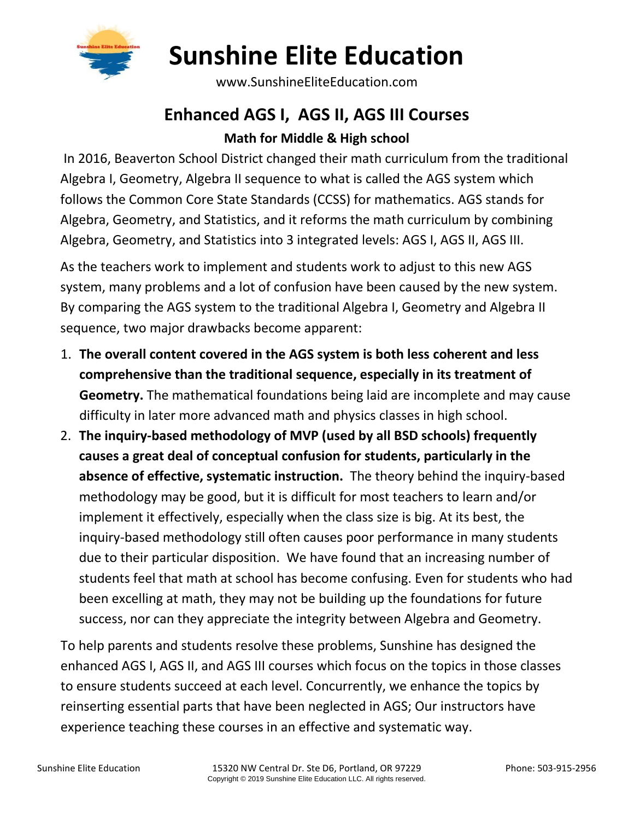

# **Sunshine Elite Education**

www.SunshineEliteEducation.com

### **Enhanced AGS I, AGS II, AGS III Courses Math for Middle & High school**

In 2016, Beaverton School District changed their math curriculum from the traditional Algebra I, Geometry, Algebra II sequence to what is called the AGS system which follows the Common Core State Standards (CCSS) for mathematics. AGS stands for Algebra, Geometry, and Statistics, and it reforms the math curriculum by combining Algebra, Geometry, and Statistics into 3 integrated levels: AGS I, AGS II, AGS III.

As the teachers work to implement and students work to adjust to this new AGS system, many problems and a lot of confusion have been caused by the new system. By comparing the AGS system to the traditional Algebra I, Geometry and Algebra II sequence, two major drawbacks become apparent:

- 1. **The overall content covered in the AGS system is both less coherent and less comprehensive than the traditional sequence, especially in its treatment of Geometry.** The mathematical foundations being laid are incomplete and may cause difficulty in later more advanced math and physics classes in high school.
- 2. **The inquiry-based methodology of MVP (used by all BSD schools) frequently causes a great deal of conceptual confusion for students, particularly in the absence of effective, systematic instruction.** The theory behind the inquiry-based methodology may be good, but it is difficult for most teachers to learn and/or implement it effectively, especially when the class size is big. At its best, the inquiry-based methodology still often causes poor performance in many students due to their particular disposition. We have found that an increasing number of students feel that math at school has become confusing. Even for students who had been excelling at math, they may not be building up the foundations for future success, nor can they appreciate the integrity between Algebra and Geometry.

To help parents and students resolve these problems, Sunshine has designed the enhanced AGS I, AGS II, and AGS III courses which focus on the topics in those classes to ensure students succeed at each level. Concurrently, we enhance the topics by reinserting essential parts that have been neglected in AGS; Our instructors have experience teaching these courses in an effective and systematic way.